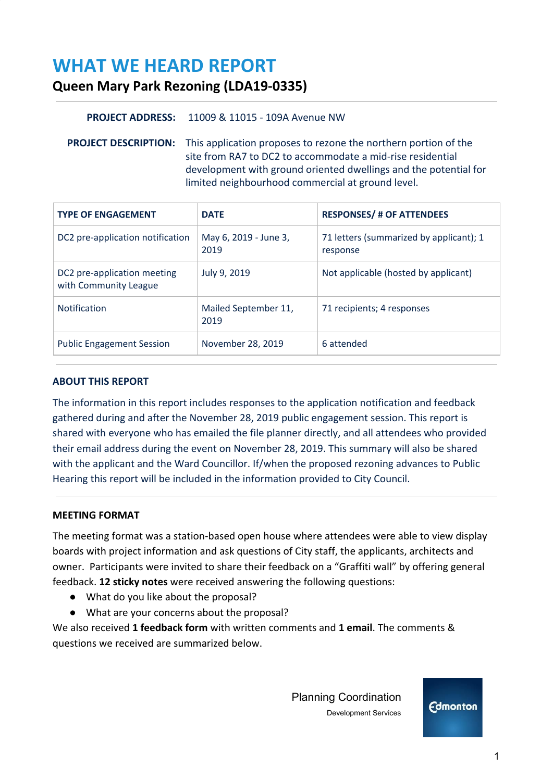# **WHAT WE HEARD REPORT**

# **Queen Mary Park Rezoning (LDA19-0335)**

# **PROJECT ADDRESS:** 11009 & 11015 - 109A Avenue NW

**PROJECT DESCRIPTION:** This application proposes to rezone the northern portion of the site from RA7 to DC2 to accommodate a mid-rise residential development with ground oriented dwellings and the potential for limited neighbourhood commercial at ground level.

| <b>TYPE OF ENGAGEMENT</b>                            | <b>DATE</b>                   | <b>RESPONSES/ # OF ATTENDEES</b>                    |
|------------------------------------------------------|-------------------------------|-----------------------------------------------------|
| DC2 pre-application notification                     | May 6, 2019 - June 3,<br>2019 | 71 letters (summarized by applicant); 1<br>response |
| DC2 pre-application meeting<br>with Community League | July 9, 2019                  | Not applicable (hosted by applicant)                |
| <b>Notification</b>                                  | Mailed September 11,<br>2019  | 71 recipients; 4 responses                          |
| <b>Public Engagement Session</b>                     | November 28, 2019             | 6 attended                                          |

# **ABOUT THIS REPORT**

The information in this report includes responses to the application notification and feedback gathered during and after the November 28, 2019 public engagement session. This report is shared with everyone who has emailed the file planner directly, and all attendees who provided their email address during the event on November 28, 2019. This summary will also be shared with the applicant and the Ward Councillor. If/when the proposed rezoning advances to Public Hearing this report will be included in the information provided to City Council.

#### **MEETING FORMAT**

The meeting format was a station-based open house where attendees were able to view display boards with project information and ask questions of City staff, the applicants, architects and owner. Participants were invited to share their feedback on a "Graffiti wall" by offering general feedback. **12 sticky notes** were received answering the following questions:

- What do you like about the proposal?
- What are your concerns about the proposal?

We also received **1 feedback form** with written comments and **1 email**. The comments & questions we received are summarized below.

> Planning Coordination Development Services